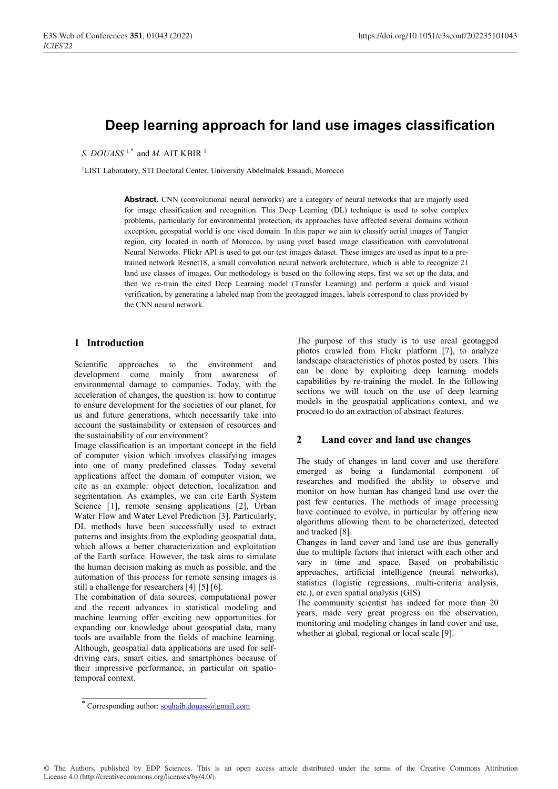# **Deep learning approach for land use images classification**

*S. DOUASS*<sup>1,\*</sup> and *M.* AIT KBIR<sup>1</sup>

<sup>1</sup>LIST Laboratory, STI Doctoral Center, University Abdelmalek Essaadi, Morocco

**Abstract.** CNN (convolutional neural networks) are a category of neural networks that are majorly used for image classification and recognition. This Deep Learning (DL) technique is used to solve complex problems, particularly for environmental protection, its approaches have affected several domains without exception, geospatial world is one vised domain. In this paper we aim to classify aerial images of Tangier region, city located in north of Morocco, by using pixel based image classification with convolutional Neural Networks. Flickr API is used to get our test images dataset. These images are used as input to a pretrained network Resnet18, a small convolution neural network architecture, which is able to recognize 21 land use classes of images. Our methodology is based on the following steps, first we set up the data, and then we re-train the cited Deep Learning model (Transfer Learning) and perform a quick and visual verification, by generating a labeled map from the geotagged images, labels correspond to class provided by the CNN neural network.

## **1 Introduction**

Scientific approaches to the environment and development come mainly from awareness of environmental damage to companies. Today, with the acceleration of changes, the question is: how to continue to ensure development for the societies of our planet, for us and future generations, which necessarily take into account the sustainability or extension of resources and the sustainability of our environment?

Image classification is an important concept in the field of computer vision which involves classifying images into one of many predefined classes. Today several applications affect the domain of computer vision, we cite as an example: object detection, localization and segmentation. As examples, we can cite Earth System Science [1], remote sensing applications [2], Urban Water Flow and Water Level Prediction [3]. Particularly, DL methods have been successfully used to extract patterns and insights from the exploding geospatial data, which allows a better characterization and exploitation of the Earth surface. However, the task aims to simulate the human decision making as much as possible, and the automation of this process for remote sensing images is still a challenge for researchers [4] [5] [6].

The combination of data sources, computational power and the recent advances in statistical modeling and machine learning offer exciting new opportunities for expanding our knowledge about geospatial data, many tools are available from the fields of machine learning. Although, geospatial data applications are used for selfdriving cars, smart cities, and smartphones because of their impressive performance, in particular on spatiotemporal context.

The purpose of this study is to use areal geotagged photos crawled from Flickr platform [7], to analyze landscape characteristics of photos posted by users. This can be done by exploiting deep learning models capabilities by re-training the model. In the following sections we will touch on the use of deep learning models in the geospatial applications context, and we proceed to do an extraction of abstract features.

## **2 Land cover and land use changes**

The study of changes in land cover and use therefore emerged as being a fundamental component of researches and modified the ability to observe and monitor on how human has changed land use over the past few centuries. The methods of image processing have continued to evolve, in particular by offering new algorithms allowing them to be characterized, detected and tracked [8].

Changes in land cover and land use are thus generally due to multiple factors that interact with each other and vary in time and space. Based on probabilistic approaches, artificial intelligence (neural networks), statistics (logistic regressions, multi-criteria analysis, etc.), or even spatial analysis (GIS)

The community scientist has indeed for more than 20 years, made very great progress on the observation, monitoring and modeling changes in land cover and use, whether at global, regional or local scale [9].

<sup>\*</sup> Corresponding author: souhaib.douass@gmail.com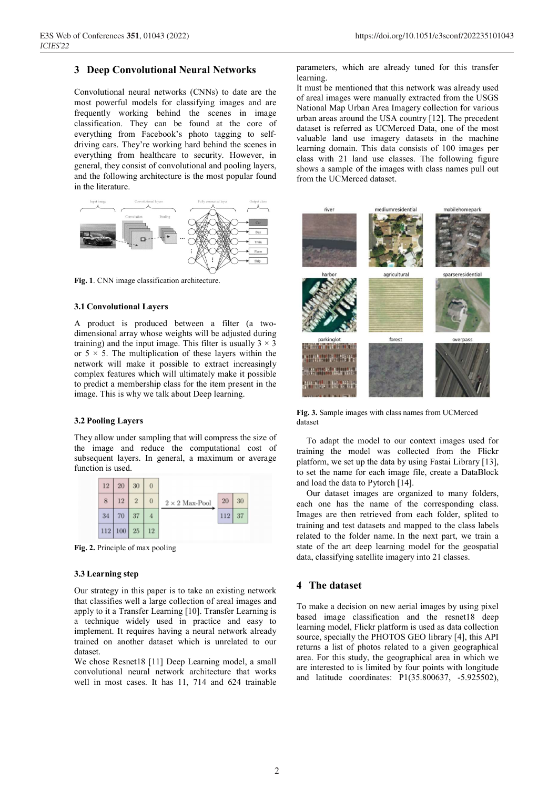## **3 Deep Convolutional Neural Networks**

Convolutional neural networks (CNNs) to date are the most powerful models for classifying images and are frequently working behind the scenes in image classification. They can be found at the core of everything from Facebook's photo tagging to selfdriving cars. They're working hard behind the scenes in everything from healthcare to security. However, in general, they consist of convolutional and pooling layers, and the following architecture is the most popular found in the literature.



**Fig. 1**. CNN image classification architecture.

#### **3.1 Convolutional Layers**

A product is produced between a filter (a twodimensional array whose weights will be adjusted during training) and the input image. This filter is usually  $3 \times 3$ or  $5 \times 5$ . The multiplication of these layers within the network will make it possible to extract increasingly complex features which will ultimately make it possible to predict a membership class for the item present in the image. This is why we talk about Deep learning.

### **3.2 Pooling Layers**

They allow under sampling that will compress the size of the image and reduce the computational cost of subsequent layers. In general, a maximum or average function is used.



**Fig. 2.** Principle of max pooling

#### **3.3 Learning step**

Our strategy in this paper is to take an existing network that classifies well a large collection of areal images and apply to it a Transfer Learning [10]. Transfer Learning is a technique widely used in practice and easy to implement. It requires having a neural network already trained on another dataset which is unrelated to our dataset.

We chose Resnet18 [11] Deep Learning model, a small convolutional neural network architecture that works well in most cases. It has 11, 714 and 624 trainable parameters, which are already tuned for this transfer learning.

It must be mentioned that this network was already used of areal images were manually extracted from the USGS National Map Urban Area Imagery collection for various urban areas around the USA country [12]. The precedent dataset is referred as UCMerced Data, one of the most valuable land use imagery datasets in the machine learning domain. This data consists of 100 images per class with 21 land use classes. The following figure shows a sample of the images with class names pull out from the UCMerced dataset.



**Fig. 3.** Sample images with class names from UCMerced dataset

To adapt the model to our context images used for training the model was collected from the Flickr platform, we set up the data by using Fastai Library [13], to set the name for each image file, create a DataBlock and load the data to Pytorch [14].

Our dataset images are organized to many folders, each one has the name of the corresponding class. Images are then retrieved from each folder, splited to training and test datasets and mapped to the class labels related to the folder name. In the next part, we train a state of the art deep learning model for the geospatial data, classifying satellite imagery into 21 classes.

## **4 The dataset**

To make a decision on new aerial images by using pixel based image classification and the resnet18 deep learning model, Flickr platform is used as data collection source, specially the PHOTOS GEO library [4], this API returns a list of photos related to a given geographical area. For this study, the geographical area in which we are interested to is limited by four points with longitude and latitude coordinates: P1(35.800637, -5.925502),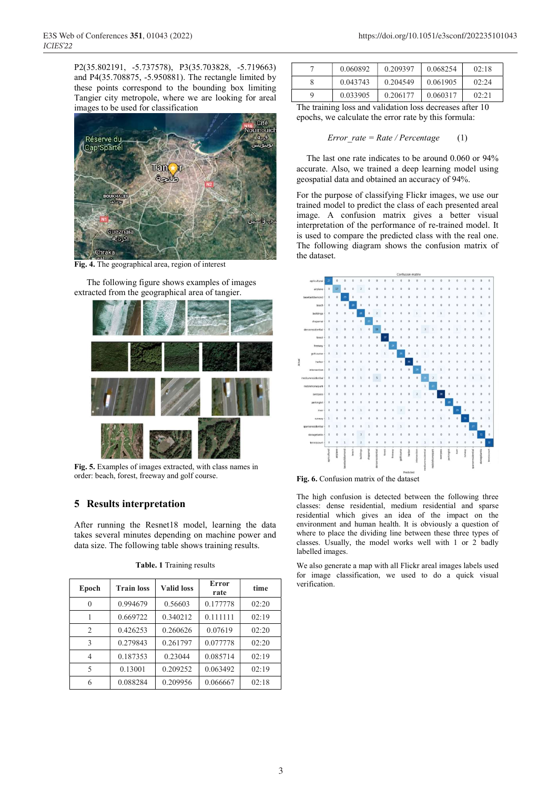P2(35.802191, -5.737578), P3(35.703828, -5.719663) and P4(35.708875, -5.950881). The rectangle limited by these points correspond to the bounding box limiting Tangier city metropole, where we are looking for areal images to be used for classification



**Fig. 4.** The geographical area, region of interest

The following figure shows examples of images extracted from the geographical area of tangier.



**Fig. 5.** Examples of images extracted, with class names in order: beach, forest, freeway and golf course.

## **5 Results interpretation**

After running the Resnet18 model, learning the data takes several minutes depending on machine power and data size. The following table shows training results.

| Epoch                    | <b>Train loss</b> | <b>Valid loss</b> | Error<br>rate | time  |
|--------------------------|-------------------|-------------------|---------------|-------|
| $\Omega$                 | 0.994679          | 0.56603           | 0.177778      | 02:20 |
|                          | 0.669722          | 0.340212          | 0.111111      | 02:19 |
| $\overline{2}$           | 0.426253          | 0.260626          | 0.07619       | 02:20 |
| 3                        | 0.279843          | 0.261797          | 0.077778      | 02:20 |
| 4                        | 0.187353          | 0.23044           | 0.085714      | 02:19 |
| $\overline{\phantom{0}}$ | 0.13001           | 0.209252          | 0.063492      | 02:19 |
| 6                        | 0.088284          | 0.209956          | 0.066667      | 02:18 |

| Table. 1 Training results |
|---------------------------|
|---------------------------|

|   | 0.060892 | 0.209397 | 0.068254 | 02:18 |
|---|----------|----------|----------|-------|
|   | 0.043743 | 0.204549 | 0.061905 | 02:24 |
| q | 0.033905 | 0.206177 | 0.060317 | 02:21 |

The training loss and validation loss decreases after 10 epochs, we calculate the error rate by this formula:

$$
Error\_rate = Rate / Percentage \qquad (1)
$$

The last one rate indicates to be around 0.060 or 94% accurate. Also, we trained a deep learning model using geospatial data and obtained an accuracy of 94%.

For the purpose of classifying Flickr images, we use our trained model to predict the class of each presented areal image. A confusion matrix gives a better visual interpretation of the performance of re-trained model. It is used to compare the predicted class with the real one. The following diagram shows the confusion matrix of the dataset.



**Fig. 6.** Confusion matrix of the dataset

The high confusion is detected between the following three classes: dense residential, medium residential and sparse residential which gives an idea of the impact on the environment and human health. It is obviously a question of where to place the dividing line between these three types of classes. Usually, the model works well with 1 or 2 badly labelled images.

We also generate a map with all Flickr areal images labels used for image classification, we used to do a quick visual verification.